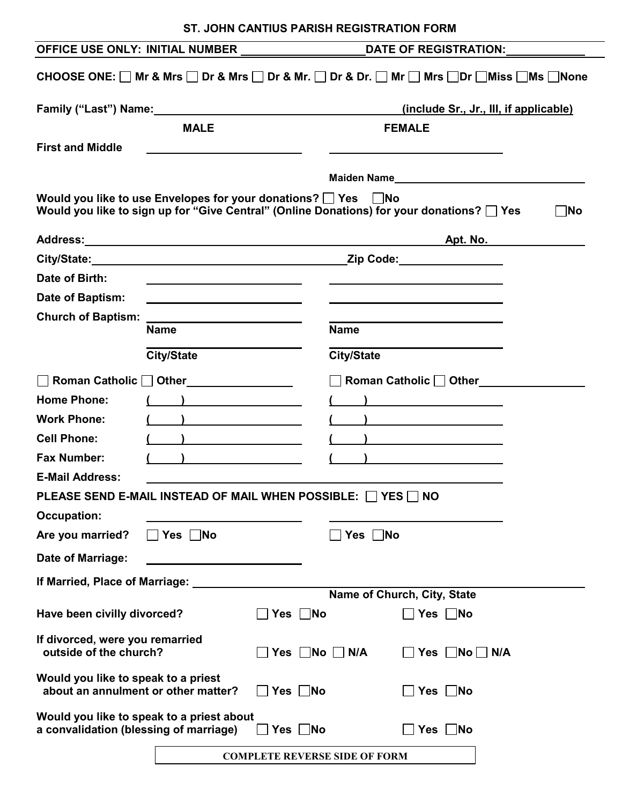|                                                                                                                                                                                    |                                                                                                                      | DATE OF REGISTRATION:                                                                                                                                                                                                                |  |  |  |  |
|------------------------------------------------------------------------------------------------------------------------------------------------------------------------------------|----------------------------------------------------------------------------------------------------------------------|--------------------------------------------------------------------------------------------------------------------------------------------------------------------------------------------------------------------------------------|--|--|--|--|
| CHOOSE ONE: $\Box$ Mr & Mrs $\Box$ Dr & Mrs $\Box$ Dr & Mr. $\Box$ Dr & Dr. $\Box$ Mr $\Box$ Mrs $\Box$ Dr $\Box$ Miss $\Box$ Ms $\Box$ None                                       |                                                                                                                      |                                                                                                                                                                                                                                      |  |  |  |  |
|                                                                                                                                                                                    | Family ("Last") Name: Name: Name and Separate and Separate and Separate and Separate and Separate and Separate A     | (include Sr., Jr., III, if applicable)                                                                                                                                                                                               |  |  |  |  |
|                                                                                                                                                                                    | <b>MALE</b>                                                                                                          | <b>FEMALE</b>                                                                                                                                                                                                                        |  |  |  |  |
| <b>First and Middle</b>                                                                                                                                                            | <u> 1989 - Johann Stoff, Amerikaansk politiker (* 1908)</u>                                                          |                                                                                                                                                                                                                                      |  |  |  |  |
|                                                                                                                                                                                    |                                                                                                                      |                                                                                                                                                                                                                                      |  |  |  |  |
| Would you like to use Envelopes for your donations? $\Box$ Yes $\Box$ No<br>Would you like to sign up for "Give Central" (Online Donations) for your donations?   Yes<br>$\neg$ No |                                                                                                                      |                                                                                                                                                                                                                                      |  |  |  |  |
|                                                                                                                                                                                    |                                                                                                                      | Apt. No.                                                                                                                                                                                                                             |  |  |  |  |
|                                                                                                                                                                                    | City/State: City/State:                                                                                              | Zip Code: <u>_______________</u>                                                                                                                                                                                                     |  |  |  |  |
| Date of Birth:                                                                                                                                                                     |                                                                                                                      |                                                                                                                                                                                                                                      |  |  |  |  |
| Date of Baptism:                                                                                                                                                                   | <u> 1989 - Johann Barbara, martxa a shekara 1980 - An tsara 1980 - An tsara 1980 - An tsara 1980 - An tsara 1980</u> |                                                                                                                                                                                                                                      |  |  |  |  |
| <b>Church of Baptism:</b>                                                                                                                                                          | <u> 1989 - Johann Barbara, martxa alemaniar a</u>                                                                    |                                                                                                                                                                                                                                      |  |  |  |  |
|                                                                                                                                                                                    | <b>Name</b>                                                                                                          | <b>Name</b>                                                                                                                                                                                                                          |  |  |  |  |
|                                                                                                                                                                                    | <b>City/State</b>                                                                                                    | <b>City/State</b>                                                                                                                                                                                                                    |  |  |  |  |
|                                                                                                                                                                                    | Roman Catholic   Other________________                                                                               | Roman Catholic   Other                                                                                                                                                                                                               |  |  |  |  |
| <b>Home Phone:</b>                                                                                                                                                                 | $\overline{\phantom{a}}$                                                                                             |                                                                                                                                                                                                                                      |  |  |  |  |
| <b>Work Phone:</b>                                                                                                                                                                 | $\overline{\phantom{a}}$                                                                                             | <u> 1989 - John Stein, Amerikaansk politiker (</u>                                                                                                                                                                                   |  |  |  |  |
| <b>Cell Phone:</b>                                                                                                                                                                 |                                                                                                                      | <u> The Communication of the Communication of the Communication of the Communication of the Communication of the Communication of the Communication of the Communication of the Communication of the Communication of the Commun</u> |  |  |  |  |
| <b>Fax Number:</b>                                                                                                                                                                 |                                                                                                                      |                                                                                                                                                                                                                                      |  |  |  |  |
| <b>E-Mail Address:</b>                                                                                                                                                             |                                                                                                                      |                                                                                                                                                                                                                                      |  |  |  |  |
| PLEASE SEND E-MAIL INSTEAD OF MAIL WHEN POSSIBLE: □ YES □ NO                                                                                                                       |                                                                                                                      |                                                                                                                                                                                                                                      |  |  |  |  |
| <b>Occupation:</b>                                                                                                                                                                 |                                                                                                                      |                                                                                                                                                                                                                                      |  |  |  |  |
| Are you married?                                                                                                                                                                   | $\Box$ Yes $\Box$ No                                                                                                 | Yes $\Box$ No                                                                                                                                                                                                                        |  |  |  |  |
| Date of Marriage:                                                                                                                                                                  |                                                                                                                      |                                                                                                                                                                                                                                      |  |  |  |  |
| If Married, Place of Marriage: _______                                                                                                                                             |                                                                                                                      |                                                                                                                                                                                                                                      |  |  |  |  |
|                                                                                                                                                                                    |                                                                                                                      | Name of Church, City, State                                                                                                                                                                                                          |  |  |  |  |
| Have been civilly divorced?                                                                                                                                                        | $\Box$ Yes $\Box$ No                                                                                                 | <b>No</b> Pres F                                                                                                                                                                                                                     |  |  |  |  |
| If divorced, were you remarried<br>outside of the church?<br>$\Box$ Yes $\Box$ No $\Box$ N/A<br>$\Box$ Yes $\Box$ No $\Box$ N/A                                                    |                                                                                                                      |                                                                                                                                                                                                                                      |  |  |  |  |
| Would you like to speak to a priest<br>about an annulment or other matter?                                                                                                         | $\Box$ Yes $\Box$ No<br>Yes $\Box$ No                                                                                |                                                                                                                                                                                                                                      |  |  |  |  |
| Would you like to speak to a priest about                                                                                                                                          |                                                                                                                      |                                                                                                                                                                                                                                      |  |  |  |  |
| a convalidation (blessing of marriage)                                                                                                                                             | <b>O</b> Yes DNo                                                                                                     | Yes $\Box$ No                                                                                                                                                                                                                        |  |  |  |  |
| <b>COMPLETE REVERSE SIDE OF FORM</b>                                                                                                                                               |                                                                                                                      |                                                                                                                                                                                                                                      |  |  |  |  |

| ST. JOHN CANTIUS PARISH REGISTRATION FORM |
|-------------------------------------------|
|-------------------------------------------|